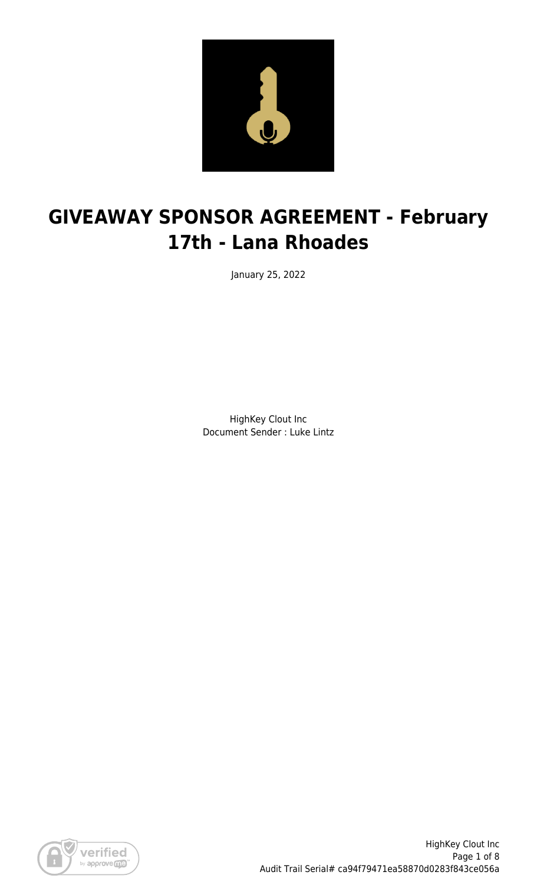

# **GIVEAWAY SPONSOR AGREEMENT - February 17th - Lana Rhoades**

January 25, 2022

HighKey Clout Inc Document Sender : Luke Lintz

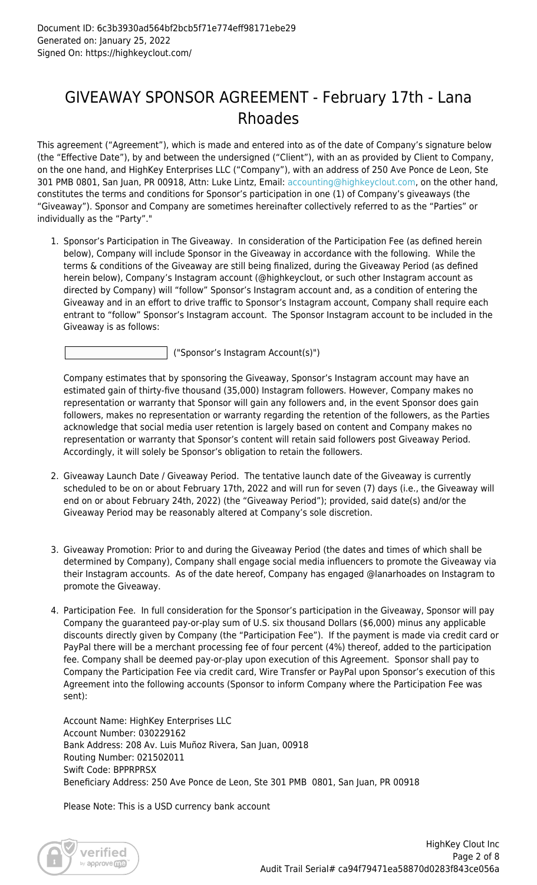### GIVEAWAY SPONSOR AGREEMENT - February 17th - Lana Rhoades

This agreement ("Agreement"), which is made and entered into as of the date of Company's signature below (the "Effective Date"), by and between the undersigned ("Client"), with an as provided by Client to Company, on the one hand, and HighKey Enterprises LLC ("Company"), with an address of 250 Ave Ponce de Leon, Ste 301 PMB 0801, San Juan, PR 00918, Attn: Luke Lintz, Email: [accounting@highkeyclout.com,](mailto:accounting@highkeyclout.com) on the other hand, constitutes the terms and conditions for Sponsor's participation in one (1) of Company's giveaways (the "Giveaway"). Sponsor and Company are sometimes hereinafter collectively referred to as the "Parties" or individually as the "Party"."

1. Sponsor's Participation in The Giveaway. In consideration of the Participation Fee (as defined herein below), Company will include Sponsor in the Giveaway in accordance with the following. While the terms & conditions of the Giveaway are still being finalized, during the Giveaway Period (as defined herein below), Company's Instagram account (@highkeyclout, or such other Instagram account as directed by Company) will "follow" Sponsor's Instagram account and, as a condition of entering the Giveaway and in an effort to drive traffic to Sponsor's Instagram account, Company shall require each entrant to "follow" Sponsor's Instagram account. The Sponsor Instagram account to be included in the Giveaway is as follows:

("Sponsor's Instagram Account(s)")

Company estimates that by sponsoring the Giveaway, Sponsor's Instagram account may have an estimated gain of thirty-five thousand (35,000) Instagram followers. However, Company makes no representation or warranty that Sponsor will gain any followers and, in the event Sponsor does gain followers, makes no representation or warranty regarding the retention of the followers, as the Parties acknowledge that social media user retention is largely based on content and Company makes no representation or warranty that Sponsor's content will retain said followers post Giveaway Period. Accordingly, it will solely be Sponsor's obligation to retain the followers.

- 2. Giveaway Launch Date / Giveaway Period. The tentative launch date of the Giveaway is currently scheduled to be on or about February 17th, 2022 and will run for seven (7) days (i.e., the Giveaway will end on or about February 24th, 2022) (the "Giveaway Period"); provided, said date(s) and/or the Giveaway Period may be reasonably altered at Company's sole discretion.
- 3. Giveaway Promotion: Prior to and during the Giveaway Period (the dates and times of which shall be determined by Company), Company shall engage social media influencers to promote the Giveaway via their Instagram accounts. As of the date hereof, Company has engaged @lanarhoades on Instagram to promote the Giveaway.
- 4. Participation Fee. In full consideration for the Sponsor's participation in the Giveaway, Sponsor will pay Company the guaranteed pay-or-play sum of U.S. six thousand Dollars (\$6,000) minus any applicable discounts directly given by Company (the "Participation Fee"). If the payment is made via credit card or PayPal there will be a merchant processing fee of four percent (4%) thereof, added to the participation fee. Company shall be deemed pay-or-play upon execution of this Agreement. Sponsor shall pay to Company the Participation Fee via credit card, Wire Transfer or PayPal upon Sponsor's execution of this Agreement into the following accounts (Sponsor to inform Company where the Participation Fee was sent):

Account Name: HighKey Enterprises LLC Account Number: 030229162 Bank Address: 208 Av. Luis Muñoz Rivera, San Juan, 00918 Routing Number: 021502011 Swift Code: BPPRPRSX Beneficiary Address: 250 Ave Ponce de Leon, Ste 301 PMB 0801, San Juan, PR 00918

Please Note: This is a USD currency bank account

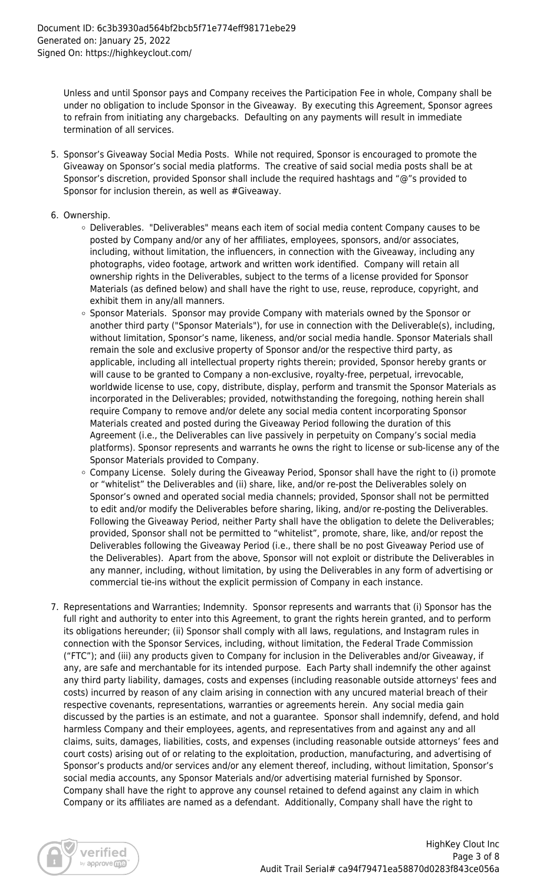Unless and until Sponsor pays and Company receives the Participation Fee in whole, Company shall be under no obligation to include Sponsor in the Giveaway. By executing this Agreement, Sponsor agrees to refrain from initiating any chargebacks. Defaulting on any payments will result in immediate termination of all services.

- 5. Sponsor's Giveaway Social Media Posts. While not required, Sponsor is encouraged to promote the Giveaway on Sponsor's social media platforms. The creative of said social media posts shall be at Sponsor's discretion, provided Sponsor shall include the required hashtags and "@"s provided to Sponsor for inclusion therein, as well as #Giveaway.
- 6. Ownership.
	- Deliverables. "Deliverables" means each item of social media content Company causes to be posted by Company and/or any of her affiliates, employees, sponsors, and/or associates, including, without limitation, the influencers, in connection with the Giveaway, including any photographs, video footage, artwork and written work identified. Company will retain all ownership rights in the Deliverables, subject to the terms of a license provided for Sponsor Materials (as defined below) and shall have the right to use, reuse, reproduce, copyright, and exhibit them in any/all manners.
	- o Sponsor Materials. Sponsor may provide Company with materials owned by the Sponsor or another third party ("Sponsor Materials"), for use in connection with the Deliverable(s), including, without limitation, Sponsor's name, likeness, and/or social media handle. Sponsor Materials shall remain the sole and exclusive property of Sponsor and/or the respective third party, as applicable, including all intellectual property rights therein; provided, Sponsor hereby grants or will cause to be granted to Company a non-exclusive, royalty-free, perpetual, irrevocable, worldwide license to use, copy, distribute, display, perform and transmit the Sponsor Materials as incorporated in the Deliverables; provided, notwithstanding the foregoing, nothing herein shall require Company to remove and/or delete any social media content incorporating Sponsor Materials created and posted during the Giveaway Period following the duration of this Agreement (i.e., the Deliverables can live passively in perpetuity on Company's social media platforms). Sponsor represents and warrants he owns the right to license or sub-license any of the Sponsor Materials provided to Company.
	- o Company License. Solely during the Giveaway Period, Sponsor shall have the right to (i) promote or "whitelist" the Deliverables and (ii) share, like, and/or re-post the Deliverables solely on Sponsor's owned and operated social media channels; provided, Sponsor shall not be permitted to edit and/or modify the Deliverables before sharing, liking, and/or re-posting the Deliverables. Following the Giveaway Period, neither Party shall have the obligation to delete the Deliverables; provided, Sponsor shall not be permitted to "whitelist", promote, share, like, and/or repost the Deliverables following the Giveaway Period (i.e., there shall be no post Giveaway Period use of the Deliverables). Apart from the above, Sponsor will not exploit or distribute the Deliverables in any manner, including, without limitation, by using the Deliverables in any form of advertising or commercial tie-ins without the explicit permission of Company in each instance.
- 7. Representations and Warranties; Indemnity. Sponsor represents and warrants that (i) Sponsor has the full right and authority to enter into this Agreement, to grant the rights herein granted, and to perform its obligations hereunder; (ii) Sponsor shall comply with all laws, regulations, and Instagram rules in connection with the Sponsor Services, including, without limitation, the Federal Trade Commission ("FTC"); and (iii) any products given to Company for inclusion in the Deliverables and/or Giveaway, if any, are safe and merchantable for its intended purpose. Each Party shall indemnify the other against any third party liability, damages, costs and expenses (including reasonable outside attorneys' fees and costs) incurred by reason of any claim arising in connection with any uncured material breach of their respective covenants, representations, warranties or agreements herein. Any social media gain discussed by the parties is an estimate, and not a guarantee. Sponsor shall indemnify, defend, and hold harmless Company and their employees, agents, and representatives from and against any and all claims, suits, damages, liabilities, costs, and expenses (including reasonable outside attorneys' fees and court costs) arising out of or relating to the exploitation, production, manufacturing, and advertising of Sponsor's products and/or services and/or any element thereof, including, without limitation, Sponsor's social media accounts, any Sponsor Materials and/or advertising material furnished by Sponsor. Company shall have the right to approve any counsel retained to defend against any claim in which Company or its affiliates are named as a defendant. Additionally, Company shall have the right to

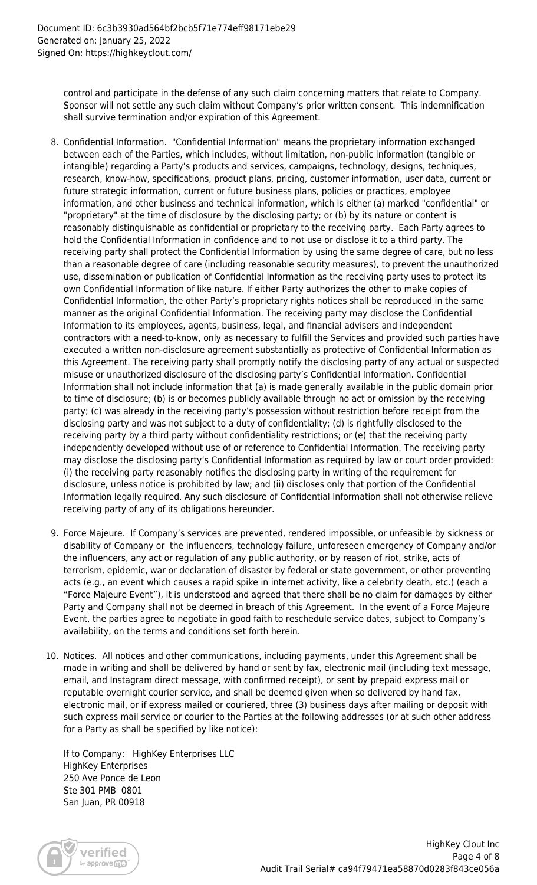control and participate in the defense of any such claim concerning matters that relate to Company. Sponsor will not settle any such claim without Company's prior written consent. This indemnification shall survive termination and/or expiration of this Agreement.

- 8. Confidential Information. "Confidential Information" means the proprietary information exchanged between each of the Parties, which includes, without limitation, non-public information (tangible or intangible) regarding a Party's products and services, campaigns, technology, designs, techniques, research, know-how, specifications, product plans, pricing, customer information, user data, current or future strategic information, current or future business plans, policies or practices, employee information, and other business and technical information, which is either (a) marked "confidential" or "proprietary" at the time of disclosure by the disclosing party; or (b) by its nature or content is reasonably distinguishable as confidential or proprietary to the receiving party. Each Party agrees to hold the Confidential Information in confidence and to not use or disclose it to a third party. The receiving party shall protect the Confidential Information by using the same degree of care, but no less than a reasonable degree of care (including reasonable security measures), to prevent the unauthorized use, dissemination or publication of Confidential Information as the receiving party uses to protect its own Confidential Information of like nature. If either Party authorizes the other to make copies of Confidential Information, the other Party's proprietary rights notices shall be reproduced in the same manner as the original Confidential Information. The receiving party may disclose the Confidential Information to its employees, agents, business, legal, and financial advisers and independent contractors with a need-to-know, only as necessary to fulfill the Services and provided such parties have executed a written non-disclosure agreement substantially as protective of Confidential Information as this Agreement. The receiving party shall promptly notify the disclosing party of any actual or suspected misuse or unauthorized disclosure of the disclosing party's Confidential Information. Confidential Information shall not include information that (a) is made generally available in the public domain prior to time of disclosure; (b) is or becomes publicly available through no act or omission by the receiving party; (c) was already in the receiving party's possession without restriction before receipt from the disclosing party and was not subject to a duty of confidentiality; (d) is rightfully disclosed to the receiving party by a third party without confidentiality restrictions; or (e) that the receiving party independently developed without use of or reference to Confidential Information. The receiving party may disclose the disclosing party's Confidential Information as required by law or court order provided: (i) the receiving party reasonably notifies the disclosing party in writing of the requirement for disclosure, unless notice is prohibited by law; and (ii) discloses only that portion of the Confidential Information legally required. Any such disclosure of Confidential Information shall not otherwise relieve receiving party of any of its obligations hereunder.
- 9. Force Majeure. If Company's services are prevented, rendered impossible, or unfeasible by sickness or disability of Company or the influencers, technology failure, unforeseen emergency of Company and/or the influencers, any act or regulation of any public authority, or by reason of riot, strike, acts of terrorism, epidemic, war or declaration of disaster by federal or state government, or other preventing acts (e.g., an event which causes a rapid spike in internet activity, like a celebrity death, etc.) (each a "Force Majeure Event"), it is understood and agreed that there shall be no claim for damages by either Party and Company shall not be deemed in breach of this Agreement. In the event of a Force Majeure Event, the parties agree to negotiate in good faith to reschedule service dates, subject to Company's availability, on the terms and conditions set forth herein.
- 10. Notices. All notices and other communications, including payments, under this Agreement shall be made in writing and shall be delivered by hand or sent by fax, electronic mail (including text message, email, and Instagram direct message, with confirmed receipt), or sent by prepaid express mail or reputable overnight courier service, and shall be deemed given when so delivered by hand fax, electronic mail, or if express mailed or couriered, three (3) business days after mailing or deposit with such express mail service or courier to the Parties at the following addresses (or at such other address for a Party as shall be specified by like notice):

If to Company: HighKey Enterprises LLC HighKey Enterprises 250 Ave Ponce de Leon Ste 301 PMB 0801 San Juan, PR 00918

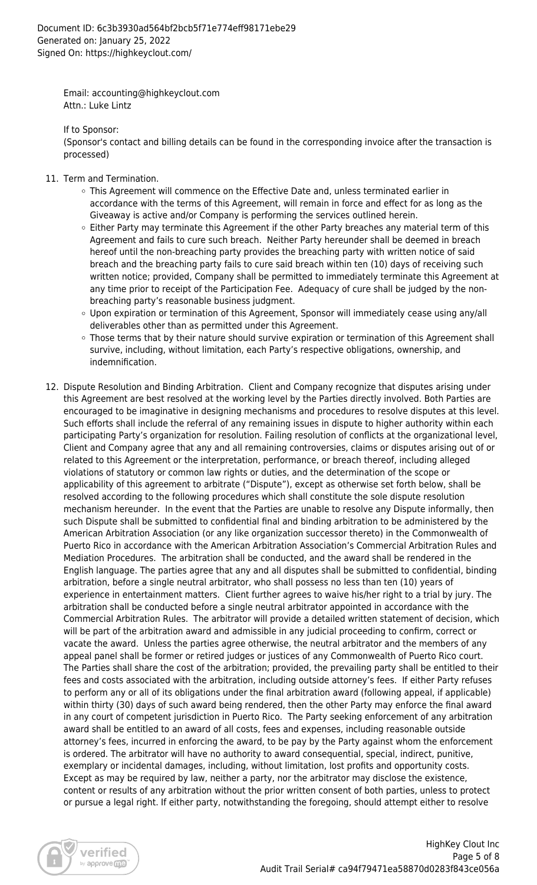Email: accounting@highkeyclout.com Attn.: Luke Lintz

If to Sponsor:

(Sponsor's contact and billing details can be found in the corresponding invoice after the transaction is processed)

- 11. Term and Termination.
	- This Agreement will commence on the Effective Date and, unless terminated earlier in accordance with the terms of this Agreement, will remain in force and effect for as long as the Giveaway is active and/or Company is performing the services outlined herein.
	- $\circ$  Either Party may terminate this Agreement if the other Party breaches any material term of this Agreement and fails to cure such breach. Neither Party hereunder shall be deemed in breach hereof until the non-breaching party provides the breaching party with written notice of said breach and the breaching party fails to cure said breach within ten (10) days of receiving such written notice; provided, Company shall be permitted to immediately terminate this Agreement at any time prior to receipt of the Participation Fee. Adequacy of cure shall be judged by the nonbreaching party's reasonable business judgment.
	- Upon expiration or termination of this Agreement, Sponsor will immediately cease using any/all deliverables other than as permitted under this Agreement.
	- Those terms that by their nature should survive expiration or termination of this Agreement shall survive, including, without limitation, each Party's respective obligations, ownership, and indemnification.
- 12. Dispute Resolution and Binding Arbitration. Client and Company recognize that disputes arising under this Agreement are best resolved at the working level by the Parties directly involved. Both Parties are encouraged to be imaginative in designing mechanisms and procedures to resolve disputes at this level. Such efforts shall include the referral of any remaining issues in dispute to higher authority within each participating Party's organization for resolution. Failing resolution of conflicts at the organizational level, Client and Company agree that any and all remaining controversies, claims or disputes arising out of or related to this Agreement or the interpretation, performance, or breach thereof, including alleged violations of statutory or common law rights or duties, and the determination of the scope or applicability of this agreement to arbitrate ("Dispute"), except as otherwise set forth below, shall be resolved according to the following procedures which shall constitute the sole dispute resolution mechanism hereunder. In the event that the Parties are unable to resolve any Dispute informally, then such Dispute shall be submitted to confidential final and binding arbitration to be administered by the American Arbitration Association (or any like organization successor thereto) in the Commonwealth of Puerto Rico in accordance with the American Arbitration Association's Commercial Arbitration Rules and Mediation Procedures. The arbitration shall be conducted, and the award shall be rendered in the English language. The parties agree that any and all disputes shall be submitted to confidential, binding arbitration, before a single neutral arbitrator, who shall possess no less than ten (10) years of experience in entertainment matters. Client further agrees to waive his/her right to a trial by jury. The arbitration shall be conducted before a single neutral arbitrator appointed in accordance with the Commercial Arbitration Rules. The arbitrator will provide a detailed written statement of decision, which will be part of the arbitration award and admissible in any judicial proceeding to confirm, correct or vacate the award. Unless the parties agree otherwise, the neutral arbitrator and the members of any appeal panel shall be former or retired judges or justices of any Commonwealth of Puerto Rico court. The Parties shall share the cost of the arbitration; provided, the prevailing party shall be entitled to their fees and costs associated with the arbitration, including outside attorney's fees. If either Party refuses to perform any or all of its obligations under the final arbitration award (following appeal, if applicable) within thirty (30) days of such award being rendered, then the other Party may enforce the final award in any court of competent jurisdiction in Puerto Rico. The Party seeking enforcement of any arbitration award shall be entitled to an award of all costs, fees and expenses, including reasonable outside attorney's fees, incurred in enforcing the award, to be pay by the Party against whom the enforcement is ordered. The arbitrator will have no authority to award consequential, special, indirect, punitive, exemplary or incidental damages, including, without limitation, lost profits and opportunity costs. Except as may be required by law, neither a party, nor the arbitrator may disclose the existence, content or results of any arbitration without the prior written consent of both parties, unless to protect or pursue a legal right. If either party, notwithstanding the foregoing, should attempt either to resolve

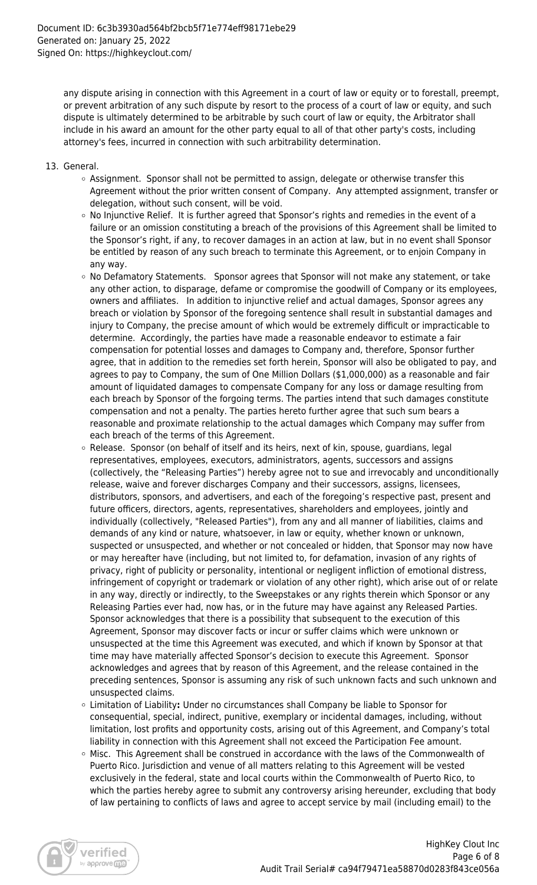any dispute arising in connection with this Agreement in a court of law or equity or to forestall, preempt, or prevent arbitration of any such dispute by resort to the process of a court of law or equity, and such dispute is ultimately determined to be arbitrable by such court of law or equity, the Arbitrator shall include in his award an amount for the other party equal to all of that other party's costs, including attorney's fees, incurred in connection with such arbitrability determination.

- 13. General.
	- $\circ$  Assignment. Sponsor shall not be permitted to assign, delegate or otherwise transfer this Agreement without the prior written consent of Company. Any attempted assignment, transfer or delegation, without such consent, will be void.
	- $\circ$  No Injunctive Relief. It is further agreed that Sponsor's rights and remedies in the event of a failure or an omission constituting a breach of the provisions of this Agreement shall be limited to the Sponsor's right, if any, to recover damages in an action at law, but in no event shall Sponsor be entitled by reason of any such breach to terminate this Agreement, or to enjoin Company in any way.
	- $\circ$  No Defamatory Statements. Sponsor agrees that Sponsor will not make any statement, or take any other action, to disparage, defame or compromise the goodwill of Company or its employees, owners and affiliates. In addition to injunctive relief and actual damages, Sponsor agrees any breach or violation by Sponsor of the foregoing sentence shall result in substantial damages and injury to Company, the precise amount of which would be extremely difficult or impracticable to determine. Accordingly, the parties have made a reasonable endeavor to estimate a fair compensation for potential losses and damages to Company and, therefore, Sponsor further agree, that in addition to the remedies set forth herein, Sponsor will also be obligated to pay, and agrees to pay to Company, the sum of One Million Dollars (\$1,000,000) as a reasonable and fair amount of liquidated damages to compensate Company for any loss or damage resulting from each breach by Sponsor of the forgoing terms. The parties intend that such damages constitute compensation and not a penalty. The parties hereto further agree that such sum bears a reasonable and proximate relationship to the actual damages which Company may suffer from each breach of the terms of this Agreement.
	- $\circ$  Release. Sponsor (on behalf of itself and its heirs, next of kin, spouse, guardians, legal representatives, employees, executors, administrators, agents, successors and assigns (collectively, the "Releasing Parties") hereby agree not to sue and irrevocably and unconditionally release, waive and forever discharges Company and their successors, assigns, licensees, distributors, sponsors, and advertisers, and each of the foregoing's respective past, present and future officers, directors, agents, representatives, shareholders and employees, jointly and individually (collectively, "Released Parties"), from any and all manner of liabilities, claims and demands of any kind or nature, whatsoever, in law or equity, whether known or unknown, suspected or unsuspected, and whether or not concealed or hidden, that Sponsor may now have or may hereafter have (including, but not limited to, for defamation, invasion of any rights of privacy, right of publicity or personality, intentional or negligent infliction of emotional distress, infringement of copyright or trademark or violation of any other right), which arise out of or relate in any way, directly or indirectly, to the Sweepstakes or any rights therein which Sponsor or any Releasing Parties ever had, now has, or in the future may have against any Released Parties. Sponsor acknowledges that there is a possibility that subsequent to the execution of this Agreement, Sponsor may discover facts or incur or suffer claims which were unknown or unsuspected at the time this Agreement was executed, and which if known by Sponsor at that time may have materially affected Sponsor's decision to execute this Agreement. Sponsor acknowledges and agrees that by reason of this Agreement, and the release contained in the preceding sentences, Sponsor is assuming any risk of such unknown facts and such unknown and unsuspected claims.
	- Limitation of Liability**:** Under no circumstances shall Company be liable to Sponsor for consequential, special, indirect, punitive, exemplary or incidental damages, including, without limitation, lost profits and opportunity costs, arising out of this Agreement, and Company's total liability in connection with this Agreement shall not exceed the Participation Fee amount.
	- $\circ$  Misc. This Agreement shall be construed in accordance with the laws of the Commonwealth of Puerto Rico. Jurisdiction and venue of all matters relating to this Agreement will be vested exclusively in the federal, state and local courts within the Commonwealth of Puerto Rico, to which the parties hereby agree to submit any controversy arising hereunder, excluding that body of law pertaining to conflicts of laws and agree to accept service by mail (including email) to the

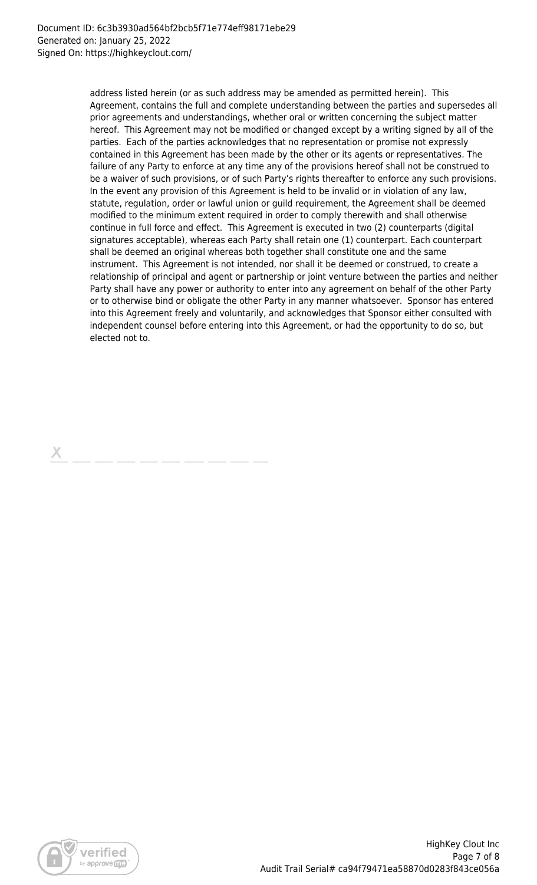address listed herein (or as such address may be amended as permitted herein). This Agreement, contains the full and complete understanding between the parties and supersedes all prior agreements and understandings, whether oral or written concerning the subject matter hereof. This Agreement may not be modified or changed except by a writing signed by all of the parties. Each of the parties acknowledges that no representation or promise not expressly contained in this Agreement has been made by the other or its agents or representatives. The failure of any Party to enforce at any time any of the provisions hereof shall not be construed to be a waiver of such provisions, or of such Party's rights thereafter to enforce any such provisions. In the event any provision of this Agreement is held to be invalid or in violation of any law, statute, regulation, order or lawful union or guild requirement, the Agreement shall be deemed modified to the minimum extent required in order to comply therewith and shall otherwise continue in full force and effect. This Agreement is executed in two (2) counterparts (digital signatures acceptable), whereas each Party shall retain one (1) counterpart. Each counterpart shall be deemed an original whereas both together shall constitute one and the same instrument. This Agreement is not intended, nor shall it be deemed or construed, to create a relationship of principal and agent or partnership or joint venture between the parties and neither Party shall have any power or authority to enter into any agreement on behalf of the other Party or to otherwise bind or obligate the other Party in any manner whatsoever. Sponsor has entered into this Agreement freely and voluntarily, and acknowledges that Sponsor either consulted with independent counsel before entering into this Agreement, or had the opportunity to do so, but elected not to.